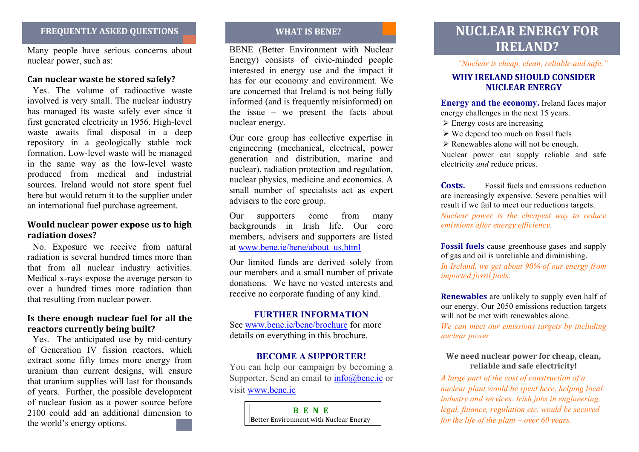Many people have serious concerns about nuclear power, such as:

## **Can nuclear waste be stored safely?**

Yes. The volume of radioactive waste involved is very small. The nuclear industry has managed its waste safely ever since it first generated electricity in 1956. High-level waste awaits final disposal in a deep repository in a geologically stable rock formation. Low-level waste will be managed in the same way as the low-level waste produced from medical and industrial sources. Ireland would not store spent fuel here but would return it to the supplier under an international fuel purchase agreement.

## **Would nuclear power expose us to high** radiation doses?

No. Exposure we receive from natural radiation is several hundred times more than that from all nuclear industry activities. Medical x-rays expose the average person to over a hundred times more radiation than that resulting from nuclear power.

## **9 Is there enough nuclear fuel for all the )(reactors currently being built?**

Yes. The anticipated use by mid-century of Generation IV fission reactors, which extract some fifty times more energy from uranium than current designs, will ensure that uranium supplies will last for thousands of years. Further, the possible development of nuclear fusion as a power source before 2100 could add an additional dimension to the world's energy options.

BENE (Better Environment with Nuclear Energy) consists of civic-minded people interested in energy use and the impact it has for our economy and environment. We are concerned that Ireland is not being fully informed (and is frequently misinformed) on the issue – we present the facts about nuclear energy.

Our core group has collective expertise in engineering (mechanical, electrical, power generation and distribution, marine and nuclear), radiation protection and regulation, nuclear physics, medicine and economics. A small number of specialists act as expert advisers to the core group.

Our supporters come from many backgrounds in Irish life. Our core members, advisers and supporters are listed at www.bene.ie/bene/about\_us.html

Our limited funds are derived solely from our members and a small number of private donations. We have no vested interests and receive no corporate funding of any kind.

## **FURTHER INFORMATION**

See www.bene.ie/bene/brochure for more details on everything in this brochure.

### **BECOME A SUPPORTER!**

You can help our campaign by becoming a Supporter. Send an email to info@bene.ie or visit www.bene.ie

> **BENE**  $\blacksquare$  **Better Environment with Nuclear Energy**

# **ABYAIRS ARE ABSOLUT A SKED QUESTIONS WHAT IS BENE?** WHAT IS BENE? **IRELAND?**

*"Nuclear is cheap, clean, reliable and safe."*

## **WHY IRELAND SHOULD CONSIDER** *NIICLEAR ENERGY*

**Energy and the economy.** Ireland faces major energy challenges in the next 15 years.

- $\geq$  Energy costs are increasing
- $\triangleright$  We depend too much on fossil fuels
- $\triangleright$  Renewables alone will not be enough.

Nuclear power can supply reliable and safe electricity *and* reduce prices.

**Costs.** Fossil fuels and emissions reduction are increasingly expensive. Severe penalties will result if we fail to meet our reductions targets.

*Nuclear power is the cheapest way to reduce emissions after energy efficiency.*

**Fossil fuels** cause greenhouse gases and supply of gas and oil is unreliable and diminishing.

*In Ireland, we get about 90% of our energy from imported fossil fuels.*

**Renewables** are unlikely to supply even half of our energy. Our 2050 emissions reduction targets will not be met with renewables alone.

*We can meet our emissions targets by including nuclear power.*

## **We need nuclear power for cheap, clean,**  $reliable and safe electricity!$

*A large part of the cost of construction of a nuclear plant would be spent here, helping local industry and services. Irish jobs in engineering, legal, finance, regulation etc. would be secured for the life of the plant – over 60 years.*